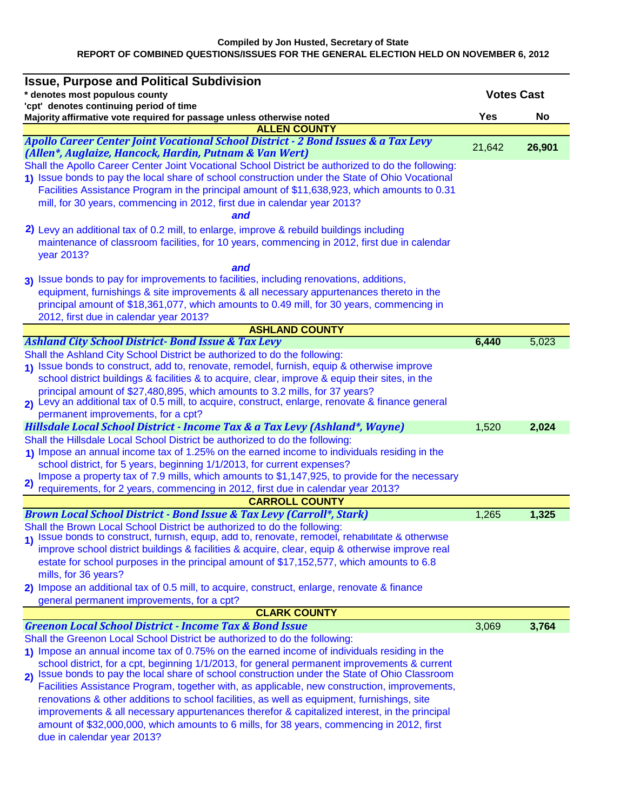| <b>Issue, Purpose and Political Subdivision</b>                                                                                                                              |            |                   |
|------------------------------------------------------------------------------------------------------------------------------------------------------------------------------|------------|-------------------|
| * denotes most populous county                                                                                                                                               |            | <b>Votes Cast</b> |
| 'cpt' denotes continuing period of time                                                                                                                                      |            |                   |
| Majority affirmative vote required for passage unless otherwise noted<br><b>ALLEN COUNTY</b>                                                                                 | <b>Yes</b> | No                |
| Apollo Career Center Joint Vocational School District - 2 Bond Issues & a Tax Levy                                                                                           |            |                   |
| (Allen*, Auglaize, Hancock, Hardin, Putnam & Van Wert)                                                                                                                       | 21,642     | 26,901            |
| Shall the Apollo Career Center Joint Vocational School District be authorized to do the following:                                                                           |            |                   |
| 1) Issue bonds to pay the local share of school construction under the State of Ohio Vocational                                                                              |            |                   |
| Facilities Assistance Program in the principal amount of \$11,638,923, which amounts to 0.31                                                                                 |            |                   |
| mill, for 30 years, commencing in 2012, first due in calendar year 2013?                                                                                                     |            |                   |
| and                                                                                                                                                                          |            |                   |
| 2) Levy an additional tax of 0.2 mill, to enlarge, improve & rebuild buildings including                                                                                     |            |                   |
| maintenance of classroom facilities, for 10 years, commencing in 2012, first due in calendar                                                                                 |            |                   |
| year 2013?                                                                                                                                                                   |            |                   |
| and                                                                                                                                                                          |            |                   |
| 3) Issue bonds to pay for improvements to facilities, including renovations, additions,                                                                                      |            |                   |
| equipment, furnishings & site improvements & all necessary appurtenances thereto in the                                                                                      |            |                   |
| principal amount of \$18,361,077, which amounts to 0.49 mill, for 30 years, commencing in                                                                                    |            |                   |
| 2012, first due in calendar year 2013?                                                                                                                                       |            |                   |
| <b>ASHLAND COUNTY</b>                                                                                                                                                        |            |                   |
| <b>Ashland City School District-Bond Issue &amp; Tax Levy</b><br>Shall the Ashland City School District be authorized to do the following:                                   | 6,440      | 5,023             |
| 1) Issue bonds to construct, add to, renovate, remodel, furnish, equip & otherwise improve                                                                                   |            |                   |
| school district buildings & facilities & to acquire, clear, improve & equip their sites, in the                                                                              |            |                   |
| principal amount of \$27,480,895, which amounts to 3.2 mills, for 37 years?                                                                                                  |            |                   |
| 2) Levy an additional tax of 0.5 mill, to acquire, construct, enlarge, renovate & finance general                                                                            |            |                   |
| permanent improvements, for a cpt?                                                                                                                                           |            |                   |
| Hillsdale Local School District - Income Tax & a Tax Levy (Ashland*, Wayne)                                                                                                  | 1,520      | 2,024             |
| Shall the Hillsdale Local School District be authorized to do the following:                                                                                                 |            |                   |
| 1) Impose an annual income tax of 1.25% on the earned income to individuals residing in the                                                                                  |            |                   |
| school district, for 5 years, beginning 1/1/2013, for current expenses?                                                                                                      |            |                   |
| Impose a property tax of 7.9 mills, which amounts to \$1,147,925, to provide for the necessary<br>2)                                                                         |            |                   |
| requirements, for 2 years, commencing in 2012, first due in calendar year 2013?                                                                                              |            |                   |
| <b>CARROLL COUNTY</b>                                                                                                                                                        |            |                   |
| <b>Brown Local School District - Bond Issue &amp; Tax Levy (Carroll*, Stark)</b>                                                                                             | 1,265      | 1,325             |
| Shall the Brown Local School District be authorized to do the following:<br>1) Issue bonds to construct, furnish, equip, add to, renovate, remodel, rehabilitate & otherwise |            |                   |
| improve school district buildings & facilities & acquire, clear, equip & otherwise improve real                                                                              |            |                   |
| estate for school purposes in the principal amount of \$17,152,577, which amounts to 6.8                                                                                     |            |                   |
| mills, for 36 years?                                                                                                                                                         |            |                   |
| 2) Impose an additional tax of 0.5 mill, to acquire, construct, enlarge, renovate & finance                                                                                  |            |                   |
| general permanent improvements, for a cpt?                                                                                                                                   |            |                   |
| <b>CLARK COUNTY</b>                                                                                                                                                          |            |                   |
| <b>Greenon Local School District - Income Tax &amp; Bond Issue</b>                                                                                                           | 3,069      | 3,764             |
| Shall the Greenon Local School District be authorized to do the following:                                                                                                   |            |                   |
| 1) Impose an annual income tax of 0.75% on the earned income of individuals residing in the                                                                                  |            |                   |
| school district, for a cpt, beginning 1/1/2013, for general permanent improvements & current                                                                                 |            |                   |
| 2) Issue bonds to pay the local share of school construction under the State of Ohio Classroom                                                                               |            |                   |
| Facilities Assistance Program, together with, as applicable, new construction, improvements,                                                                                 |            |                   |
| renovations & other additions to school facilities, as well as equipment, furnishings, site                                                                                  |            |                   |
| improvements & all necessary appurtenances therefor & capitalized interest, in the principal                                                                                 |            |                   |
| amount of \$32,000,000, which amounts to 6 mills, for 38 years, commencing in 2012, first                                                                                    |            |                   |
| due in calendar year 2013?                                                                                                                                                   |            |                   |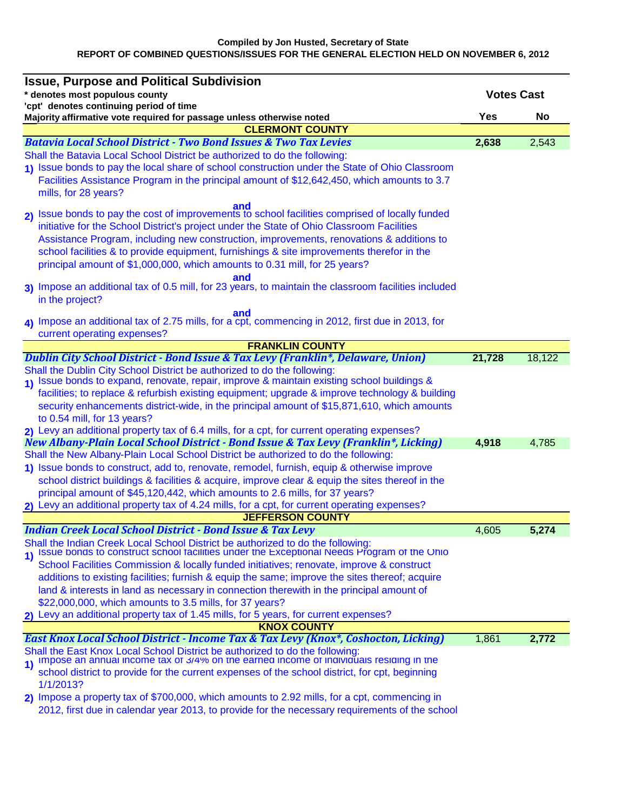|                                | <b>Issue, Purpose and Political Subdivision</b>                                                                                                                            |                   |        |
|--------------------------------|----------------------------------------------------------------------------------------------------------------------------------------------------------------------------|-------------------|--------|
| * denotes most populous county |                                                                                                                                                                            | <b>Votes Cast</b> |        |
|                                | 'cpt' denotes continuing period of time                                                                                                                                    | <b>Yes</b>        | No     |
|                                | Majority affirmative vote required for passage unless otherwise noted<br><b>CLERMONT COUNTY</b>                                                                            |                   |        |
|                                | <b>Batavia Local School District - Two Bond Issues &amp; Two Tax Levies</b>                                                                                                | 2,638             | 2,543  |
|                                | Shall the Batavia Local School District be authorized to do the following:                                                                                                 |                   |        |
|                                | 1) Issue bonds to pay the local share of school construction under the State of Ohio Classroom                                                                             |                   |        |
|                                | Facilities Assistance Program in the principal amount of \$12,642,450, which amounts to 3.7                                                                                |                   |        |
|                                | mills, for 28 years?                                                                                                                                                       |                   |        |
|                                | 2) Issue bonds to pay the cost of improvements to school facilities comprised of locally funded                                                                            |                   |        |
|                                |                                                                                                                                                                            |                   |        |
|                                | initiative for the School District's project under the State of Ohio Classroom Facilities                                                                                  |                   |        |
|                                | Assistance Program, including new construction, improvements, renovations & additions to                                                                                   |                   |        |
|                                | school facilities & to provide equipment, furnishings & site improvements therefor in the<br>principal amount of \$1,000,000, which amounts to 0.31 mill, for 25 years?    |                   |        |
|                                | and                                                                                                                                                                        |                   |        |
|                                | 3) Impose an additional tax of 0.5 mill, for 23 years, to maintain the classroom facilities included                                                                       |                   |        |
|                                | in the project?                                                                                                                                                            |                   |        |
|                                | and                                                                                                                                                                        |                   |        |
|                                | 4) Impose an additional tax of 2.75 mills, for a cpt, commencing in 2012, first due in 2013, for                                                                           |                   |        |
|                                | current operating expenses?<br><b>FRANKLIN COUNTY</b>                                                                                                                      |                   |        |
|                                | Dublin City School District - Bond Issue & Tax Levy (Franklin*, Delaware, Union)                                                                                           | 21,728            | 18,122 |
|                                | Shall the Dublin City School District be authorized to do the following:                                                                                                   |                   |        |
|                                | 1) Issue bonds to expand, renovate, repair, improve & maintain existing school buildings &                                                                                 |                   |        |
|                                | facilities; to replace & refurbish existing equipment; upgrade & improve technology & building                                                                             |                   |        |
|                                | security enhancements district-wide, in the principal amount of \$15,871,610, which amounts                                                                                |                   |        |
|                                | to 0.54 mill, for 13 years?                                                                                                                                                |                   |        |
|                                | 2) Levy an additional property tax of 6.4 mills, for a cpt, for current operating expenses?                                                                                |                   |        |
|                                | New Albany-Plain Local School District - Bond Issue & Tax Levy (Franklin*, Licking)                                                                                        | 4,918             | 4,785  |
|                                | Shall the New Albany-Plain Local School District be authorized to do the following:                                                                                        |                   |        |
|                                | 1) Issue bonds to construct, add to, renovate, remodel, furnish, equip & otherwise improve                                                                                 |                   |        |
|                                | school district buildings & facilities & acquire, improve clear & equip the sites thereof in the                                                                           |                   |        |
|                                | principal amount of \$45,120,442, which amounts to 2.6 mills, for 37 years?                                                                                                |                   |        |
|                                | 2) Levy an additional property tax of 4.24 mills, for a cpt, for current operating expenses?<br><b>JEFFERSON COUNTY</b>                                                    |                   |        |
|                                | <b>Indian Creek Local School District - Bond Issue &amp; Tax Levy</b>                                                                                                      | 4,605             | 5,274  |
|                                | Shall the Indian Creek Local School District be authorized to do the following:                                                                                            |                   |        |
| $\vert$                        | Issue bonds to construct school facilities under the Exceptional Needs Program of the Ohio                                                                                 |                   |        |
|                                | School Facilities Commission & locally funded initiatives; renovate, improve & construct                                                                                   |                   |        |
|                                | additions to existing facilities; furnish & equip the same; improve the sites thereof; acquire                                                                             |                   |        |
|                                | land & interests in land as necessary in connection therewith in the principal amount of                                                                                   |                   |        |
|                                | \$22,000,000, which amounts to 3.5 mills, for 37 years?                                                                                                                    |                   |        |
|                                | 2) Levy an additional property tax of 1.45 mills, for 5 years, for current expenses?                                                                                       |                   |        |
|                                | <b>KNOX COUNTY</b><br>East Knox Local School District - Income Tax & Tax Levy (Knox*, Coshocton, Licking)                                                                  | 1,861             | 2,772  |
|                                |                                                                                                                                                                            |                   |        |
| $\overline{1}$                 | Shall the East Knox Local School District be authorized to do the following:<br>1) Impose an annual income tax or 3/4% on the earned income or individuals residing in the |                   |        |
|                                | school district to provide for the current expenses of the school district, for cpt, beginning                                                                             |                   |        |
|                                | 1/1/2013?                                                                                                                                                                  |                   |        |
|                                | 2) Impose a property tax of \$700,000, which amounts to 2.92 mills, for a cpt, commencing in                                                                               |                   |        |
|                                | 2012, first due in calendar year 2013, to provide for the necessary requirements of the school                                                                             |                   |        |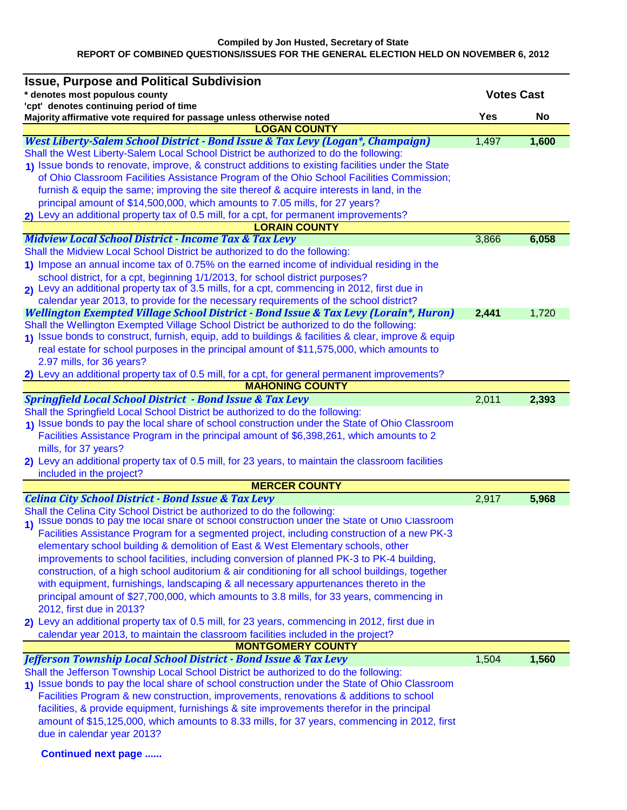| <b>Issue, Purpose and Political Subdivision</b>                                                                                                        |       |                   |  |  |  |
|--------------------------------------------------------------------------------------------------------------------------------------------------------|-------|-------------------|--|--|--|
| * denotes most populous county                                                                                                                         |       | <b>Votes Cast</b> |  |  |  |
| 'cpt' denotes continuing period of time                                                                                                                |       |                   |  |  |  |
| Majority affirmative vote required for passage unless otherwise noted<br><b>LOGAN COUNTY</b>                                                           | Yes   | <b>No</b>         |  |  |  |
| West Liberty-Salem School District - Bond Issue & Tax Levy (Logan*, Champaign)                                                                         | 1,497 | 1,600             |  |  |  |
| Shall the West Liberty-Salem Local School District be authorized to do the following:                                                                  |       |                   |  |  |  |
| 1) Issue bonds to renovate, improve, & construct additions to existing facilities under the State                                                      |       |                   |  |  |  |
| of Ohio Classroom Facilities Assistance Program of the Ohio School Facilities Commission;                                                              |       |                   |  |  |  |
| furnish & equip the same; improving the site thereof & acquire interests in land, in the                                                               |       |                   |  |  |  |
| principal amount of \$14,500,000, which amounts to 7.05 mills, for 27 years?                                                                           |       |                   |  |  |  |
| 2) Levy an additional property tax of 0.5 mill, for a cpt, for permanent improvements?                                                                 |       |                   |  |  |  |
| <b>LORAIN COUNTY</b>                                                                                                                                   |       |                   |  |  |  |
| <b>Midview Local School District - Income Tax &amp; Tax Levy</b>                                                                                       | 3,866 | 6,058             |  |  |  |
| Shall the Midview Local School District be authorized to do the following:                                                                             |       |                   |  |  |  |
| 1) Impose an annual income tax of 0.75% on the earned income of individual residing in the                                                             |       |                   |  |  |  |
| school district, for a cpt, beginning 1/1/2013, for school district purposes?                                                                          |       |                   |  |  |  |
| 2) Levy an additional property tax of 3.5 mills, for a cpt, commencing in 2012, first due in                                                           |       |                   |  |  |  |
| calendar year 2013, to provide for the necessary requirements of the school district?                                                                  |       |                   |  |  |  |
| Wellington Exempted Village School District - Bond Issue & Tax Levy (Lorain*, Huron)                                                                   | 2,441 | 1,720             |  |  |  |
| Shall the Wellington Exempted Village School District be authorized to do the following:                                                               |       |                   |  |  |  |
| 1) Issue bonds to construct, furnish, equip, add to buildings & facilities & clear, improve & equip                                                    |       |                   |  |  |  |
| real estate for school purposes in the principal amount of \$11,575,000, which amounts to                                                              |       |                   |  |  |  |
| 2.97 mills, for 36 years?                                                                                                                              |       |                   |  |  |  |
| 2) Levy an additional property tax of 0.5 mill, for a cpt, for general permanent improvements?                                                         |       |                   |  |  |  |
| <b>MAHONING COUNTY</b>                                                                                                                                 |       |                   |  |  |  |
| <b>Springfield Local School District - Bond Issue &amp; Tax Levy</b><br>Shall the Springfield Local School District be authorized to do the following: | 2,011 | 2,393             |  |  |  |
| 1) Issue bonds to pay the local share of school construction under the State of Ohio Classroom                                                         |       |                   |  |  |  |
| Facilities Assistance Program in the principal amount of \$6,398,261, which amounts to 2                                                               |       |                   |  |  |  |
| mills, for 37 years?                                                                                                                                   |       |                   |  |  |  |
| 2) Levy an additional property tax of 0.5 mill, for 23 years, to maintain the classroom facilities                                                     |       |                   |  |  |  |
| included in the project?                                                                                                                               |       |                   |  |  |  |
| <b>MERCER COUNTY</b>                                                                                                                                   |       |                   |  |  |  |
| <b>Celina City School District - Bond Issue &amp; Tax Levy</b>                                                                                         | 2,917 | 5,968             |  |  |  |
| Shall the Celina City School District be authorized to do the following:                                                                               |       |                   |  |  |  |
| Issue bonds to pay the local share of school construction under the State of Ohio Classroom                                                            |       |                   |  |  |  |
| Facilities Assistance Program for a segmented project, including construction of a new PK-3                                                            |       |                   |  |  |  |
| elementary school building & demolition of East & West Elementary schools, other                                                                       |       |                   |  |  |  |
| improvements to school facilities, including conversion of planned PK-3 to PK-4 building,                                                              |       |                   |  |  |  |
| construction, of a high school auditorium & air conditioning for all school buildings, together                                                        |       |                   |  |  |  |
| with equipment, furnishings, landscaping & all necessary appurtenances thereto in the                                                                  |       |                   |  |  |  |
| principal amount of \$27,700,000, which amounts to 3.8 mills, for 33 years, commencing in                                                              |       |                   |  |  |  |
| 2012, first due in 2013?                                                                                                                               |       |                   |  |  |  |
| 2) Levy an additional property tax of 0.5 mill, for 23 years, commencing in 2012, first due in                                                         |       |                   |  |  |  |
| calendar year 2013, to maintain the classroom facilities included in the project?                                                                      |       |                   |  |  |  |
| <b>MONTGOMERY COUNTY</b>                                                                                                                               |       |                   |  |  |  |
| Jefferson Township Local School District - Bond Issue & Tax Levy                                                                                       | 1,504 | 1,560             |  |  |  |
| Shall the Jefferson Township Local School District be authorized to do the following:                                                                  |       |                   |  |  |  |
| 1) Issue bonds to pay the local share of school construction under the State of Ohio Classroom                                                         |       |                   |  |  |  |
| Facilities Program & new construction, improvements, renovations & additions to school                                                                 |       |                   |  |  |  |
| facilities, & provide equipment, furnishings & site improvements therefor in the principal                                                             |       |                   |  |  |  |
| amount of \$15,125,000, which amounts to 8.33 mills, for 37 years, commencing in 2012, first                                                           |       |                   |  |  |  |
| due in calendar year 2013?                                                                                                                             |       |                   |  |  |  |
| <b>Continued next page </b>                                                                                                                            |       |                   |  |  |  |